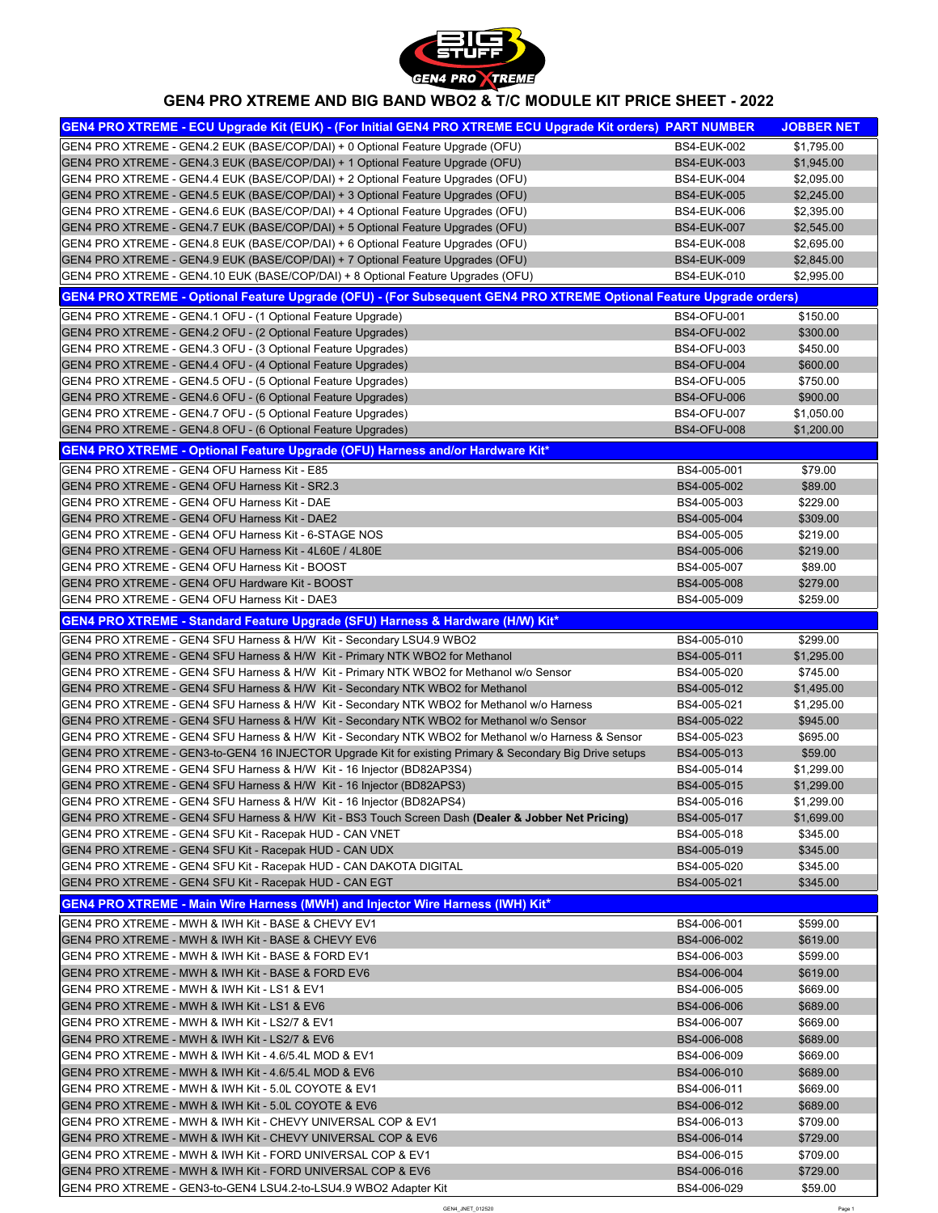| GEN4 PRO XTREME - ECU Upgrade Kit (EUK) - (For Initial GEN4 PRO XTREME ECU Upgrade Kit orders) PART NUMBER                 |                    | <b>JOBBER NET</b> |
|----------------------------------------------------------------------------------------------------------------------------|--------------------|-------------------|
| GEN4 PRO XTREME - GEN4.2 EUK (BASE/COP/DAI) + 0 Optional Feature Upgrade (OFU)                                             | <b>BS4-EUK-002</b> | \$1,795.00        |
| GEN4 PRO XTREME - GEN4.3 EUK (BASE/COP/DAI) + 1 Optional Feature Upgrade (OFU)                                             | <b>BS4-EUK-003</b> | \$1,945.00        |
| GEN4 PRO XTREME - GEN4.4 EUK (BASE/COP/DAI) + 2 Optional Feature Upgrades (OFU)                                            | <b>BS4-EUK-004</b> | \$2,095.00        |
| GEN4 PRO XTREME - GEN4.5 EUK (BASE/COP/DAI) + 3 Optional Feature Upgrades (OFU)                                            | <b>BS4-EUK-005</b> | \$2,245.00        |
| GEN4 PRO XTREME - GEN4.6 EUK (BASE/COP/DAI) + 4 Optional Feature Upgrades (OFU)                                            | <b>BS4-EUK-006</b> | \$2,395.00        |
| GEN4 PRO XTREME - GEN4.7 EUK (BASE/COP/DAI) + 5 Optional Feature Upgrades (OFU)                                            | <b>BS4-EUK-007</b> | \$2,545.00        |
| GEN4 PRO XTREME - GEN4.8 EUK (BASE/COP/DAI) + 6 Optional Feature Upgrades (OFU)                                            | <b>BS4-EUK-008</b> | \$2,695.00        |
| GEN4 PRO XTREME - GEN4.9 EUK (BASE/COP/DAI) + 7 Optional Feature Upgrades (OFU)                                            | <b>BS4-EUK-009</b> | \$2,845.00        |
| GEN4 PRO XTREME - GEN4.10 EUK (BASE/COP/DAI) + 8 Optional Feature Upgrades (OFU)                                           | <b>BS4-EUK-010</b> | \$2,995.00        |
| <b>GEN4 PRO XTREME - Optional Feature Upgrade (OFU) - (For Subsequent GEN4 PRO XTREME Optional Feature Upgrade orders)</b> |                    |                   |
| GEN4 PRO XTREME - GEN4.1 OFU - (1 Optional Feature Upgrade)                                                                | <b>BS4-OFU-001</b> | \$150.00          |
| GEN4 PRO XTREME - GEN4.2 OFU - (2 Optional Feature Upgrades)                                                               | <b>BS4-OFU-002</b> | \$300.00          |
| GEN4 PRO XTREME - GEN4.3 OFU - (3 Optional Feature Upgrades)                                                               | <b>BS4-OFU-003</b> | \$450.00          |
| GEN4 PRO XTREME - GEN4.4 OFU - (4 Optional Feature Upgrades)                                                               | <b>BS4-OFU-004</b> | \$600.00          |
| GEN4 PRO XTREME - GEN4.5 OFU - (5 Optional Feature Upgrades)                                                               | <b>BS4-OFU-005</b> | \$750.00          |
| GEN4 PRO XTREME - GEN4.6 OFU - (6 Optional Feature Upgrades)                                                               | <b>BS4-OFU-006</b> | \$900.00          |
| GEN4 PRO XTREME - GEN4.7 OFU - (5 Optional Feature Upgrades)                                                               | <b>BS4-OFU-007</b> | \$1,050.00        |
| GEN4 PRO XTREME - GEN4.8 OFU - (6 Optional Feature Upgrades)                                                               | <b>BS4-OFU-008</b> | \$1,200.00        |
| <b>GEN4 PRO XTREME - Optional Feature Upgrade (OFU) Harness and/or Hardware Kit*</b>                                       |                    |                   |
| GEN4 PRO XTREME - GEN4 OFU Harness Kit - E85                                                                               | BS4-005-001        | \$79.00           |
| <b>IGEN4 PRO XTREME - GEN4 OFU Harness Kit - SR2.3</b>                                                                     | BS4-005-002        | \$89.00           |
| GEN4 PRO XTREME - GEN4 OFU Harness Kit - DAE                                                                               | BS4-005-003        | \$229.00          |
| <b>IGEN4 PRO XTREME - GEN4 OFU Harness Kit - DAE2</b>                                                                      | BS4-005-004        | \$309.00          |
| GEN4 PRO XTREME - GEN4 OFU Harness Kit - 6-STAGE NOS                                                                       | BS4-005-005        | \$219.00          |
| <b>IGEN4 PRO XTREME - GEN4 OFU Harness Kit - 4L60E / 4L80E</b>                                                             | BS4-005-006        | \$219.00          |
| GEN4 PRO XTREME - GEN4 OFU Harness Kit - BOOST                                                                             | BS4-005-007        | \$89.00           |
| <b>IGEN4 PRO XTREME - GEN4 OFU Hardware Kit - BOOST</b>                                                                    | BS4-005-008        | \$279.00          |
| GEN4 PRO XTREME - GEN4 OFU Harness Kit - DAE3                                                                              | BS4-005-009        | \$259.00          |
| <b>GEN4 PRO XTREME - Standard Feature Upgrade (SFU) Harness &amp; Hardware (H/W) Kit*</b>                                  |                    |                   |
| GEN4 PRO XTREME - GEN4 SFU Harness & H/W Kit - Secondary LSU4.9 WBO2                                                       | BS4-005-010        | \$299.00          |
| GEN4 PRO XTREME - GEN4 SFU Harness & H/W Kit - Primary NTK WBO2 for Methanol                                               | BS4-005-011        | \$1,295.00        |
| GEN4 PRO XTREME - GEN4 SFU Harness & H/W Kit - Primary NTK WBO2 for Methanol w/o Sensor                                    | BS4-005-020        | \$745.00          |
| GEN4 PRO XTREME - GEN4 SFU Harness & H/W Kit - Secondary NTK WBO2 for Methanol                                             | BS4-005-012        | \$1,495.00        |
| GEN4 PRO XTREME - GEN4 SFU Harness & H/W Kit - Secondary NTK WBO2 for Methanol w/o Harness                                 | BS4-005-021        | \$1,295.00        |
| GEN4 PRO XTREME - GEN4 SFU Harness & H/W Kit - Secondary NTK WBO2 for Methanol w/o Sensor                                  | BS4-005-022        | \$945.00          |
|                                                                                                                            | BS4-005-023        | \$695.00          |
| GEN4 PRO XTREME - GEN4 SFU Harness & H/W Kit - Secondary NTK WBO2 for Methanol w/o Harness & Sensor                        |                    |                   |
| GEN4 PRO XTREME - GEN3-to-GEN4 16 INJECTOR Upgrade Kit for existing Primary & Secondary Big Drive setups                   | BS4-005-013        | \$59.00           |
| GEN4 PRO XTREME - GEN4 SFU Harness & H/W Kit - 16 Injector (BD82AP3S4)                                                     | BS4-005-014        | \$1,299.00        |
| GEN4 PRO XTREME - GEN4 SFU Harness & H/W Kit - 16 Injector (BD82APS3)                                                      | BS4-005-015        | \$1,299.00        |
| GEN4 PRO XTREME - GEN4 SFU Harness & H/W Kit - 16 Injector (BD82APS4)                                                      | BS4-005-016        | \$1,299.00        |
| GEN4 PRO XTREME - GEN4 SFU Harness & H/W Kit - BS3 Touch Screen Dash (Dealer & Jobber Net Pricing)                         | BS4-005-017        | \$1,699.00        |
| GEN4 PRO XTREME - GEN4 SFU Kit - Racepak HUD - CAN VNET                                                                    | BS4-005-018        | \$345.00          |
| <b>GEN4 PRO XTREME - GEN4 SFU Kit - Racepak HUD - CAN UDX</b>                                                              | BS4-005-019        | \$345.00          |
| GEN4 PRO XTREME - GEN4 SFU Kit - Racepak HUD - CAN DAKOTA DIGITAL                                                          | BS4-005-020        | \$345.00          |
| GEN4 PRO XTREME - GEN4 SFU Kit - Racepak HUD - CAN EGT                                                                     | BS4-005-021        | \$345.00          |

**GEN4 PRO XTREME - Main Wire Harness (MWH) and Injector Wire Harness (IWH) Kit\*** 

| IGEN4 PRO XTREME - MWH & IWH Kit - BASE & CHEVY EV1                        | BS4-006-001 | \$599.00 |
|----------------------------------------------------------------------------|-------------|----------|
| IGEN4 PRO XTREME - MWH & IWH Kit - BASE & CHEVY EV6 I                      | BS4-006-002 | \$619.00 |
| IGEN4 PRO XTREME - MWH & IWH Kit - BASE & FORD EV1                         | BS4-006-003 | \$599.00 |
| <b>IGEN4 PRO XTREME - MWH &amp; IWH Kit - BASE &amp; FORD EV6</b>          | BS4-006-004 | \$619.00 |
| <b>IGEN4 PRO XTREME - MWH &amp; IWH Kit - LS1 &amp; EV1</b>                | BS4-006-005 | \$669.00 |
| <b>IGEN4 PRO XTREME - MWH &amp; IWH Kit - LS1 &amp; EV6</b>                | BS4-006-006 | \$689.00 |
| IGEN4 PRO XTREME - MWH & IWH Kit - LS2/7 & EV1                             | BS4-006-007 | \$669.00 |
| <b>IGEN4 PRO XTREME - MWH &amp; IWH Kit - LS2/7 &amp; EV6</b>              | BS4-006-008 | \$689.00 |
| IGEN4 PRO XTREME - MWH & IWH Kit - 4.6/5.4L MOD & EV1                      | BS4-006-009 | \$669.00 |
| IGEN4 PRO XTREME - MWH & IWH Kit - 4.6/5.4L MOD & EV6                      | BS4-006-010 | \$689.00 |
| IGEN4 PRO XTREME - MWH & IWH Kit - 5.0L COYOTE & EV1                       | BS4-006-011 | \$669.00 |
| GEN4 PRO XTREME - MWH & IWH Kit - 5.0L COYOTE & EV6                        | BS4-006-012 | \$689.00 |
| IGEN4 PRO XTREME - MWH & IWH Kit - CHEVY UNIVERSAL COP & EV1               | BS4-006-013 | \$709.00 |
| <b>GEN4 PRO XTREME - MWH &amp; IWH Kit - CHEVY UNIVERSAL COP &amp; EV6</b> | BS4-006-014 | \$729.00 |
| GEN4 PRO XTREME - MWH & IWH Kit - FORD UNIVERSAL COP & EV1                 | BS4-006-015 | \$709.00 |
| GEN4 PRO XTREME - MWH & IWH Kit - FORD UNIVERSAL COP & EV6                 | BS4-006-016 | \$729.00 |
| GEN4 PRO XTREME - GEN3-to-GEN4 LSU4.2-to-LSU4.9 WBO2 Adapter Kit           | BS4-006-029 | \$59.00  |



## **GEN4 PRO XTREME AND BIG BAND WBO2 & T/C MODULE KIT PRICE SHEET - 2022**